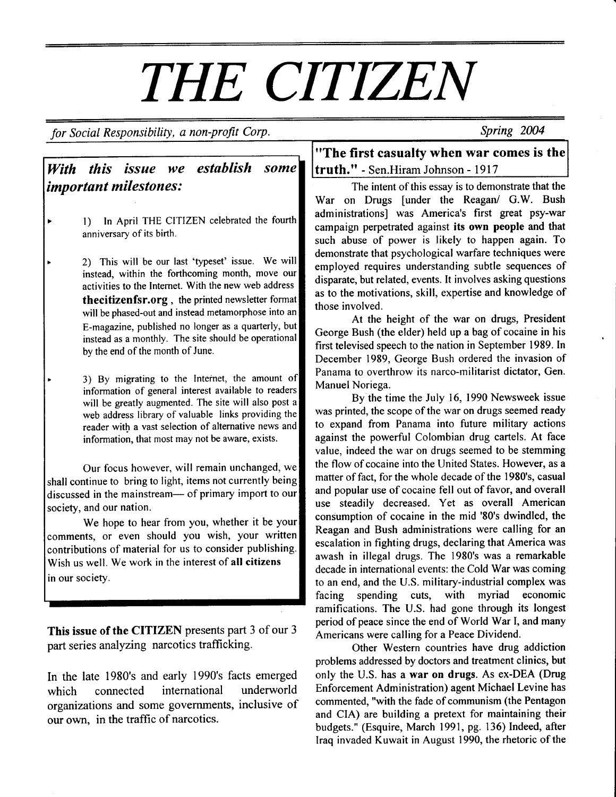for Social Responsibility, a non-profit Corp.

Spring 2004

#### **With this issue we establish some truth."** - Sen.Hiram Johnson - 1917 important milestones: establish

- l) In April THE CITIZEN celebrated the fourth anniversary of its birth.
- 2) This will be our last 'typeset' issue. We will instead, within the forthcoming month, move our activities to the Intemet. With the new web address thecitizenfsr.org, the printed newsletter format will be phased-out and instead metamorphose into an E-magazine, published no longer as a quarterly, but instead as a monthly. The site should be operational bv the end of the month of June.
- 3) By migrating to the Internet, the amount of information of general interest available to readers will be greatly augmented. The site will also post a web address library of valuable links providing the reader with a vast selection of alternative news and information, that most may not be aware, exists.

Our focus however, will remain unchanged, we shall continue to bring to light, items not currently being discussed in the mainstream- of primary import to our society, and our nation.

We hope to hear from you, whether it be your comments, or even should you wish, your written contributions of material for us to consider publishing. Wish us well. We work in the interest of all citizens in our society.

This issue of the CITIZEN presents part 3 of our 3 part series analyzing narcotics traffrcking.

In the late 1980's and early 1990's facts emerged which connected international underworld organizations and some govemments, inclusive of our own. in the traffic of narcotics.

"The first casualty when war comes is the

The intent of this essay is to demonstrate that the War on Drugs [under the Reagan/ G.W. Bush administrations] was America's first great psy-war campaign perpetrated against its own people and that such abuse of power is likely to happen again. To demonstrate that psychological warfare techniques were employed reguires understanding subtle sequences of disparate, but related, events. It involves asking questions as to the motivations, skill, expertise and knowledge of those involved.

At the height of the war on drugs, President George Bush (the elder) held up a bag of cocaine in his first televised speech to the nation in September 1989. In December 1989, George Bush ordered the invasion of Panama to overthrow its narco-militarist dictator. Gen. Manuel Noriega.

By the time the July 16, 1990 Newsweek issue was printed, the scope of the war on drugs seemed ready to expand from Panama into future military actions against the powerful Colombian drug cartels. At face value, indeed the war on drugs seemed to be stemming the flow of cocaine into the United States. However, as a matter of fact, for the whole decade of the 1980's, casual and popular use of cocaine fell out of favor, and overall use steadily decreased. Yet as overall American consumption of cocaine in the mid '80's dwindled, the Reagan and Bush administrations were calling for an escalation in fighting drugs, declaring that America was awash in illegal drugs. The 1980's was a remarkable decade in international events: the Cold War was coming to an end, and the U.S. military-industrial complex was facing spending cuts, with myriad economic ramifications. The U.S. had gone through its longest period of peace since the end of World War I, and many Americans were calling for a Peace Dividend.

Other Western countries have drug addiction problems addressed by doctors and treatment clinics, but only the U.S. has a war on drugs. As ex-DEA (Drug Enforcement Administration) agent Michael Levine has commented, "with the fade of communism (the Pentagon and CIA) are building a pretext for maintaining their budgets." (Esquire, March 1991, pg. 136) Indeed, after Iraq invaded Kuwait in August 1990, the rhetoric of the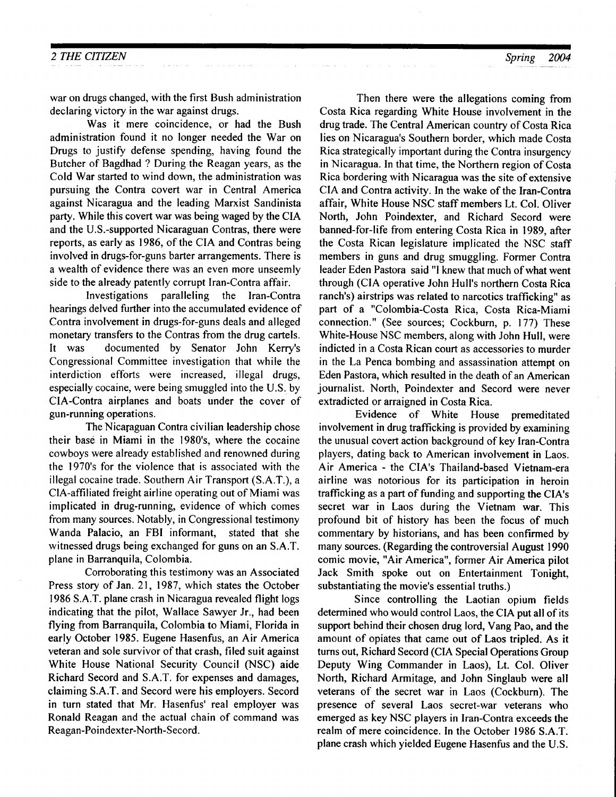war on drugs changed, with the first Bush administration declaring victory in the war against drugs.

Was it mere coincidence, or had the Bush administration found it no longer needed the War on Drugs to justify defense spending, having found the Butcher of Bagdhad ? During the Reagan years, as the Cold War started to wind down, the administration was pursuing the Contra covert war in Central America against Nicaragua and the leading Marxist Sandinista party. While this covert war was being waged by the CIA and the U.S.-supported Nicaraguan Contras, there were reports, as early as 1986, of the CIA and Contras being involved in drugs-for-guns barter arrangements. There is a wealth of evidence there was an even more unseemly side to the already patently corrupt lran-Contra affair.

Investigations paralleling the lran-Contra hearings delved further into the accumulated evidence of Contra involvement in drugs-for-guns deals and alleged monetary transfers to the Contras from the drug cartels. It was documented by Senator John Kerry's Congressional Committee investigation that while the interdiction efforts were increased, illegal drugs, especially cocaine, were being smuggled into the U.S. by CIA-Contra airplanes and boats under the cover of gun-running operations.

The Nicaraguan Contra civilian leadership chose their base in Miami in the 1980's, where the cocaine cowboys were already established and renowned during the 1970's for the violence that is associated with the illegal cocaine trade. Southern Air Transport (S.A.T.), a CIA-affiliated freight airline operating out of Miami was implicated in drug-running, evidence of which comes from many sources. Notably, in Congressional testimony Wanda Palacio, an FBI informant, stated that she witnessed drugs being exchanged for guns on an S.A.T. plane in Barranquila, Colombia.

Corroborating this testimony was an Associated Press story of Jan. 21, 1987, which states the October 1986 S.A.T. plane crash in Nicaragua revealed flight logs indicating that the pilot, Wallace Sawyer Jr., had been flying from Barranquila, Colombia to Miami, Florida in early October 1985. Eugene Hasenfus, an Air America veteran and sole survivor of that crash, filed suit against White House National Security Council (NSC) aide Richard Secord and S.A.T. for expenses and damages, claiming S.A.T. and Secord were his employers. Secord in turn stated that Mr. Hasenfus' real employer was Ronald Reagan and the actual chain of command was Reagan-Poindexter-North-Secord.

Then there were the allegations coming from Costa Rica regarding White House involvement in the drug trade. The Central American country of Costa Rica lies on Nicaragua's Southern border, which made Costa Rica strategically important during the Contra insurgency in Nicaragua. In that time, the Northern region of Costa Rica bordering with Nicaragua was the site of extensive CIA and Contra activity. In the wake of the lran-Contra affair, White House NSC staff members Lt. Col. Oliver North, John Poindexter, and Richard Secord were banned-for-life from entering Costa Rica in 1989, after the Costa Rican legislature implicated the NSC staff members in guns and drug smuggling. Former Contra leader Eden Pastora said "l knew that much of what went through (CIA operative John Hull's northern Costa Rica ranch's) airstrips was related to narcotics trafficking" as part of a "Colombia-Costa Rica, Costa Rica-Miami connection." (See sources; Cockburn, p. 177) These White-House NSC members, along with John Hull, were indicted in a Costa Rican court as accessories to murder in the La Penca bombing and assassination attempt on Eden Pastora, which resulted in the death of an American journalist. North, Poindexter and Secord were never extradicted or araigned in Costa Rica.

Evidence of White House premeditated involvement in drug trafficking is provided by examining the unusual covert action background of key Iran-Contra players, dating back to American involvement in Laos. Air America - the CIA's Thailand-based Vietnam-era airline was notorious for its participation in heroin trafficking as a part of funding and supporting the CIA's secret war in Laos during the Vietnam war. This profound bit of history has been the focus of much commentary by historians, and has been confirmed by many sources. (Regarding the controversial August l990 comic movie, "Air America", former Air America pilot Jack Smith spoke out on Entertainment Tonight, substantiating the movie's essential truths.)

Since controlling the Laotian opium fields determined who would control Laos, the CIA put all of its support behind their chosen drug lord, Vang Pao, and the amount of opiates that came out of Laos tripled. As it turns out, Richard Secord (CIA Special Operations Group Deputy Wing Commander in Laos), Lt. Col. Oliver North, Richard Armitage, and John Singlaub were all veterans of the secret war in Laos (Cockburn). The presence of several Laos secret-war veterans who emerged as key NSC players in lran-Contra exceeds the realm of mere coincidence. In the October 1986 S.A.T. plane crash which yielded Eugene Hasenfus and the U.S.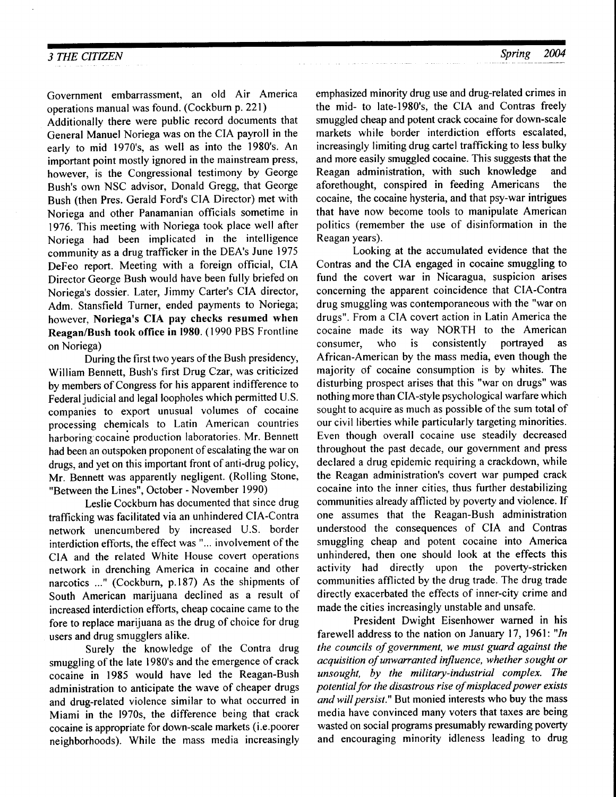Government embarrassment, an old Air America operations manual was found. (Cockburn p. 221)

Additionally there were public record documents that General Manuel Noriega was on the CIA payroll in the early to mid 1970's, as well as into the 1980's. An important point mostly ignored in the mainstream press, however, is the Congressional testimony by George Bush's own NSC advisor, Donald Gregg, that George Bush (then Pres. Gerald Ford's CIA Director) met with Noriega and other Panamanian officials sometime in 1976. This meeting with Noriega took place well after Noriega had been implicated in the intelligence community as a drug trafficker in the DEA's June 1975 DeFeo report. Meeting with a foreign official, CIA Director George Bush would have been fully briefed on Noriega's dossier. Later, Jimmy Carter's CIA director, Adm. Stansfield Turner, ended payments to Noriega; however, Noriega's CIA pay checks resumed when Reagan/Bush took office in 1980. (1990 PBS Frontline on Noriega)

During the first two years of the Bush presidency, William Bennett, Bush's first Drug Czar, was criticized by members of Congress for his apparent indifference to Federal judicial and legal loopholes which permitted U.S. companies to export unusual volumes of cocaine processing chemicals to Latin American countries harboring'cocaine production laboratories. Mr. Bennett had been an outspoken proponent of escalating the war on drugs, and yet on this important front of anti-drug policy, Mr. Bennett was apparently negligent. (Rolling Stone, "Between the Lines", October - November 1990)

Leslie Cockburn has documented that since drug trafficking was facilitated via an unhindered CIA-Contra network unencumbered by increased U.S. border interdiction efforts, the effect was "... involvement of the CIA and the related White House covert operations network in drenching America in cocaine and other narcotics ..." (Cockburn, p.187) As the shipments of South American marijuana declined as a result of increased interdiction efforts, cheap cocaine came to the fore to replace marijuana as the drug of choice for drug users and drug smugglers alike.

Surely the knowledge of the Contra drug smuggling of the late 1980's and the emergence of crack cocaine in 1985 would have led the Reagan-Bush administration to anticipate the wave of cheaper drugs and drug-related violence similar to what occurred in Miami in the 1970s, the difference being that crack cocaine is appropriate for down-scale markets (i.e.poorer neighborhoods). While the mass media increasingly

emphasized minority drug use and drug-related crimes in the mid- to late-1980's, the CIA and Contras freely smuggled cheap and potent crack cocaine for down-scale markets while border interdiction efforts escalated, increasingly limiting drug cartel trafficking to less bulky and more easily smuggled cocaine. This suggests that the Reagan administration, with such knowledge and aforethought, conspired in feeding Americans the cocaine, the cocaine hysteria, and that psy-war intrigues that have now become tools to manipulate American politics (remember the use of disinformation in the Reagan years).

Looking at the accumulated evidence that the Contras and the CIA engaged in cocaine smuggling to fund the covert war in Nicaragua, suspicion arises concerning the apparent coincidence that CIA-Contra drug smuggling was contemporaneous with the "war on drugs", From a CIA covert action in Latin America the cocaine made its way NORTH to the American consumer, who is consistently portrayed as African-American by the mass media, even though the majority of cocaine consumption is by whites. The disturbing prospect arises that this "war on drugs" was nothing more than CIA-style psychological warfare which sought to acquire as much as possible of the sum total of our civil liberties while particularly targeting minorities. Even though overall cocaine use steadily decreased throughout the past decade, our government and press declared a drug epidemic requiring a crackdown, while the Reagan administration's covert war pumped crack cocaine into the inner cities, thus further destabilizing communities already afflicted by poverty and violence. lf one assumes that the Reagan-Bush administration understood the consequences of CIA and Contras smuggling cheap and potent cocaine into America unhindered. then one should look at the effects this activity had directly upon the poverty-stricken communities afflicted by the drug trade. The drug trade directly exacerbated the effects of inner-city crime and made the cities increasingly unstable and unsafe.

President Dwight Eisenhower wamed in his farewell address to the nation on January 17, 1961: "In the councils of government, we must guard against the acquisition of unwarranted influence, whether sought or unsought, by the military-industrial complex. The potential for the disastrous rise of misplaced power exists and will persist." But monied interests who buy the mass media have convinced many voters that taxes are being wasted on social programs presumably rewarding poverty and encouraging minority idleness leading to drug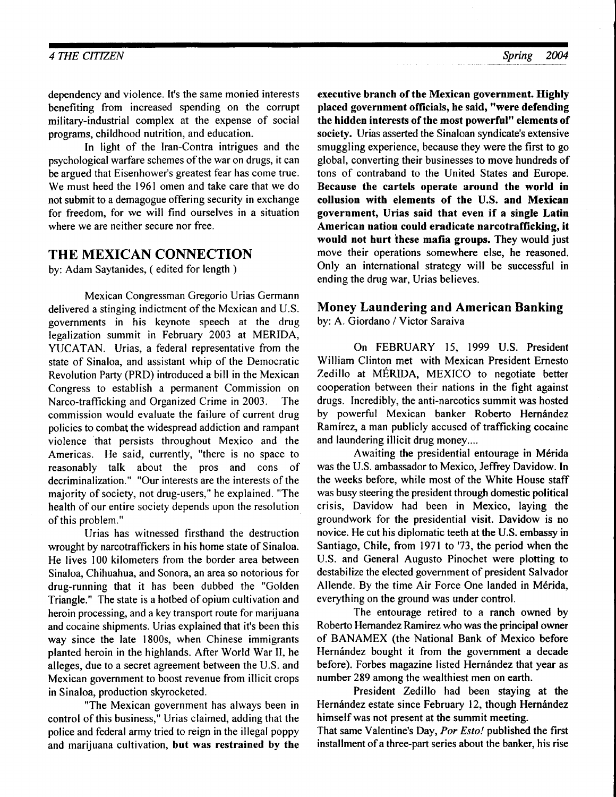dependency and violence. It's the same monied interests benefiting from increased spending on the corrupt military-industrial complex at the expense of social programs, childhood nutrition, and education.

In light of the lran-Contra intrigues and the psychological warfare schemes of the war on drugs, it can be argued that Eisenhower's greatest fear has come true. We must heed the 196l omen and take care that we do not submit to a demagogue offering security in exchange for freedom, for we will find ourselves in a situation where we are neither secure nor free.

# THE MEXICAN CONNECTION

by: Adam Saytanides, ( edited for length )

Mexican Congressman Gregorio Urias Germann delivered a stinging indictment of the Mexican and U.S. governments in his keynote speech at the drug legalization summit in February 2003 at MERIDA, YUCATAN. Urias, a federal representative from the state of Sinaloa, and assistant whip of the Democratic Revolution Party (PRD) introduced a bill in the Mexican Congress to establish a permanent Commission on Narco-trafficking and Organized Crime in 2003. The commission would evaluate the failure of current drug policies to combat the widespread addiction and rampant violence 'that persists throughout Mexico and the Americas. He said, currently, "there is no space to reasonably talk about the pros and cons of decriminalization." "Our interests are the interests of the majority of sociefy, not drug-users," he explained. "The health of our entire society depends upon the resolution of this problem."

Urias has witnessed firsthand the destruction wrought by narcotraffickers in his home state of Sinaloa. He lives 100 kilometers from the border area between Sinaloa, Chihuahua, and Sonora, an area so notorious for drug-running that it has been dubbed the "Golden Triangle." The state is a hotbed of opium cultivation and heroin processing, and a key transport route for marijuana and cocaine shipments. Urias explained that it's been this way since the late 1800s, when Chinese immigrants planted heroin in the highlands. After World War II, he alleges, due to a secret agreement between the U.S. and Mexican government to boost revenue from illicit crops in Sinaloa, production skyrocketed.

"The Mexican government has always been in control of this business," Urias claimed, adding that the police and federal army tried to reign in the illegal poppy and marijuana cultivation, but was restrained by the

executive branch of the Mexican government. Highly placed government officials, he said, "were defending the hidden interests of the most powerful" elements of society. Urias asserted the Sinaloan syndicate's extensive smuggling experience, because they were the first to go global, converting their businesses to move hundreds of tons of contraband to the United States and Europe. Because the cartels operate around the world in collusion with elements of the U.S. and Mexican government, Urias said that even if a single Latin American nation could eradicate narcotrafficking, it would not hurt these mafia groups. They would just move their operations somewhere else, he reasoned. Only an international strategy will be successful in ending the drug war, Urias believes.

# Money Laundering and American Banking

by: A. Giordano / Victor Saraiva

On FEBRUARY 15, 1999 U.S. President William Clinton met with Mexican President Emesto Zedillo at MERIDA, MEXICO to negotiate better cooperation between their nations in the fight against drugs. Incredibly, the anti-narcotics summit was hosted by powerful Mexican banker Roberto Hernández Ramirez, a man publicly accused of trafficking cocaine and laundering illicit drug money....

Awaiting the presidential entourage in Mérida was the U.S. ambassador to Mexico, Jeffrey Davidow. In the weeks before, while most of the White House staff was busy steering the president through domestic political crisis, Davidow had been in Mexico, laying the groundwork for the presidential visit. Davidow is no novice. He cut his diplomatic teeth at the U.S. embassy in Santiago, Chile, from 1971 to'73, the period when the U.S. and General Augusto Pinochet were plotting to destabilize the elected government of president Salvador Allende. By the time Air Force One landed in Mérida, everything on the ground was under control.

The entourage retired to a ranch owned by Roberto Hernandez Ramirez who was the principal owner of BANAMEX (the National Bank of Mexico before Hernández bought it from the government a decade before). Forbes magazine listed Hernández that year as number 289 among the wealthiest men on earth.

President Zedillo had been staying at the Hernández estate since February 12, though Hernández himself was not present at the summit meeting.

That same Valentine's Day, Por Esto! published the first installment of a three-part series about the banker, his rise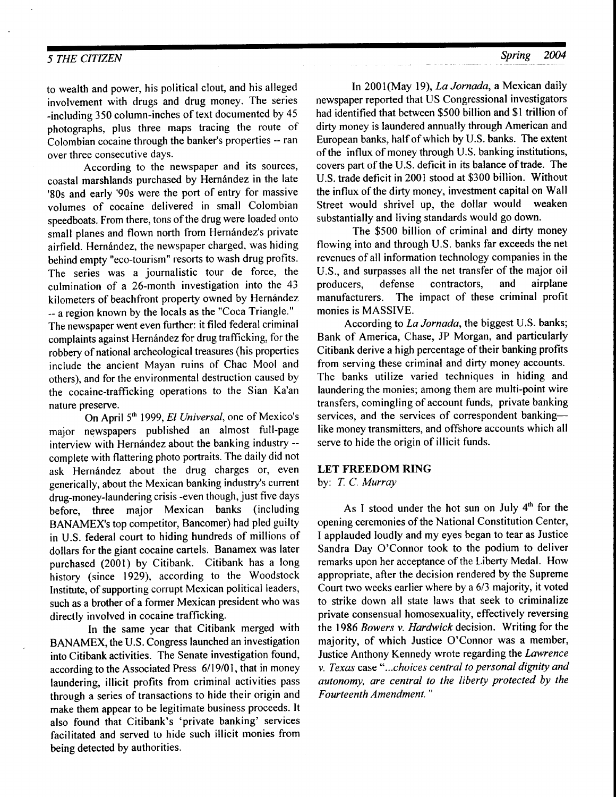to wealth and power, his political clout, and his alleged involvement with drugs and drug money. The series -including 350 column-inches of text documented by 45 photographs, plus three maps tracing the route of Colombian cocaine through the banker's properties - ran over three consecutive daYs.

According to the newspaper and its sources, coastal marshlands purchased by Hernández in the late '80s and early '90s were the port of entry for massive volumes of cocaine delivered in small Colombian speedboats. From there, tons of the drug were loaded onto small planes and flown north from Hernández's private airfield. Hernández, the newspaper charged, was hiding behind empty "eco-tourism" resorts to wash drug profits. The series was a journalistic tour de force, the culmination of a 26-month investigation into the 43 kilometers of beachfront property owned by Hernández -- a region known by the locals as the "Coca Triangle." The newspaper went even further: it filed federal criminal complaints against Hernández for drug trafficking, for the robbery of national archeological treasures (his properties include the ancient Mayan ruins of Chac Mool and others), and for the environmental destruction caused by the cocaine-trafficking operations to the Sian Ka'an nature preserve.

On April 5<sup>th</sup> 1999, El Universal, one of Mexico's major newspapers published an almost full-page interview with Hernández about the banking industry -comptete with flattering photo portraits. The daily did not ask Hernández about the drug charges or, even generically, about the Mexican banking industry's current drug-money-laundering crisis -even though, just five days before, three major Mexican banks (including BANAMEX's top competitor, Bancomer) had pled guilty in U.S. federal court to hiding hundreds of millions of dollars for the giant cocaine cartels. Banamex was later purchased (2001) by Citibank. Citibank has a long history (since 1929), according to the Woodstock Institute, of supporting corrupt Mexican political leaders, such as a brother of a former Mexican president who was directly involved in cocaine trafficking.

In the same year that Citibank merged with BANAMEX, the U.S. Congress launched an investigation into Citibank activities. The Senate investigation found, according to the Associated Press 6/19/01, that in money laundering, illicit profits from criminal activities pass through a series of transactions to hide their origin and make them appear to be legitimate business proceeds. It also found that Citibank's 'private banking' services facilitated and served to hide such illicit monies from being detected by authorities.

In 2001(May 19), La Jornada, a Mexican daily newspaper reported that US Congressional investigators had identified that between \$500 billion and \$1 trillion of dirty money is laundered annually through American and European banks, half of which by U.S. banks. The extent of the influx of money through U.S. banking institutions, covers part of the U.S. deficit in its balance of trade. The U.S. trade deficit in 2001 stood at \$300 billion. Without the influx of the dirty money, investment capital on Wall Street would shrivel up, the dollar would weaken substantially and living standards would go down.

The \$500 billion of criminal and dirty money flowing into and through U.S. banks far exceeds the net revenues of all information technology companies in the U.S., and surpasses all the net transfer of the major oil<br>producers. defense contractors, and airplane producers, defense contractors, and manufacturers. The impact of these criminal profit monies is MASSIVE.

According to La Jornada, the biggest U.S. banks; Bank of America, Chase, JP Morgan, and particularly Citibank derive a high percentage of their banking profits from serving these criminal and dirty money accounts. The banks utilize varied techniques in hiding and laundering the monies; among them are multi-point wire transfers, comingling of account funds, private banking services, and the services of correspondent bankinglike money transmitters, and offshore accounts which all serve to hide the origin of illicit funds.

#### LET FREEDOM RING

by: T. C. Murray

As I stood under the hot sun on July 4'h for the opening ceremonies of the National Constitution Center, I applauded loudly and my eyes began to tear as Justice Sandra Day O'Connor took to the podium to deliver remarks upon her acceptance of the Liberty Medal. How appropriate, after the decision rendered by the Supreme Court two weeks earlier where by a 613 majority, it voted to strike down all state laws that seek to criminalize private consensual homosexuality, effectively reversing the 1986 Bowers v. Hardwick decision. Writing for the majority, of which Justice O'Connor was a member, Justice Anthony Kennedy wrote regarding the Lawrence v. Texas ease"...choices central to personal dignity and autonomy, are central to the liberty protected by the Fourte enth Amendment. "